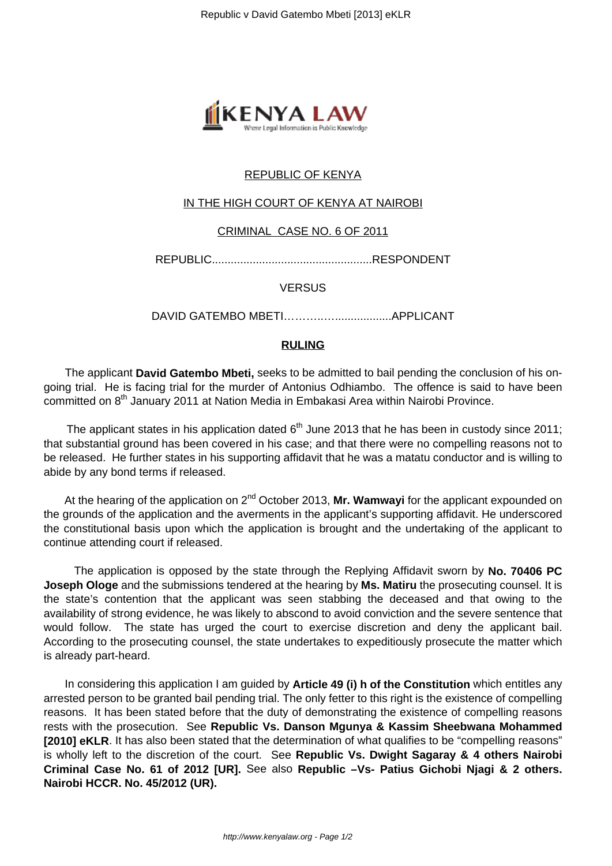

# REPUBLIC OF KENYA

#### IN THE HIGH COURT OF KENYA AT NAIROBI

#### CRIMINAL CASE NO. 6 OF 2011

REPUBLIC...................................................RESPONDENT

**VERSUS** 

DAVID GATEMBO MBETI………..…..................APPLICANT

### **RULING**

 The applicant **David Gatembo Mbeti,** seeks to be admitted to bail pending the conclusion of his ongoing trial. He is facing trial for the murder of Antonius Odhiambo. The offence is said to have been committed on 8<sup>th</sup> January 2011 at Nation Media in Embakasi Area within Nairobi Province.

The applicant states in his application dated  $6<sup>th</sup>$  June 2013 that he has been in custody since 2011; that substantial ground has been covered in his case; and that there were no compelling reasons not to be released. He further states in his supporting affidavit that he was a matatu conductor and is willing to abide by any bond terms if released.

At the hearing of the application on 2<sup>nd</sup> October 2013, Mr. Wamwayi for the applicant expounded on the grounds of the application and the averments in the applicant's supporting affidavit. He underscored the constitutional basis upon which the application is brought and the undertaking of the applicant to continue attending court if released.

 The application is opposed by the state through the Replying Affidavit sworn by **No. 70406 PC Joseph Ologe** and the submissions tendered at the hearing by **Ms. Matiru** the prosecuting counsel. It is the state's contention that the applicant was seen stabbing the deceased and that owing to the availability of strong evidence, he was likely to abscond to avoid conviction and the severe sentence that would follow. The state has urged the court to exercise discretion and deny the applicant bail. According to the prosecuting counsel, the state undertakes to expeditiously prosecute the matter which is already part-heard.

 In considering this application I am guided by **Article 49 (i) h of the Constitution** which entitles any arrested person to be granted bail pending trial. The only fetter to this right is the existence of compelling reasons. It has been stated before that the duty of demonstrating the existence of compelling reasons rests with the prosecution. See **Republic Vs. Danson Mgunya & Kassim Sheebwana Mohammed [2010] eKLR**. It has also been stated that the determination of what qualifies to be "compelling reasons" is wholly left to the discretion of the court. See **Republic Vs. Dwight Sagaray & 4 others Nairobi Criminal Case No. 61 of 2012 [UR].** See also **Republic –Vs- Patius Gichobi Njagi & 2 others. Nairobi HCCR. No. 45/2012 (UR).**